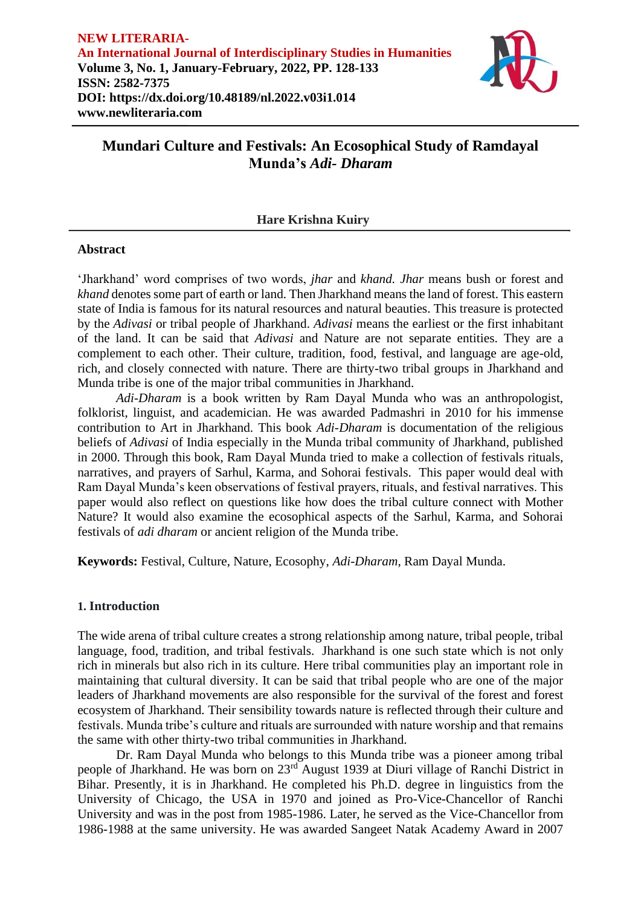

# **Mundari Culture and Festivals: An Ecosophical Study of Ramdayal Munda's** *Adi- Dharam*

# **Hare Krishna Kuiry**

### **Abstract**

'Jharkhand' word comprises of two words, *jhar* and *khand. Jhar* means bush or forest and *khand* denotes some part of earth or land. Then Jharkhand means the land of forest. This eastern state of India is famous for its natural resources and natural beauties. This treasure is protected by the *Adivasi* or tribal people of Jharkhand. *Adivasi* means the earliest or the first inhabitant of the land. It can be said that *Adivasi* and Nature are not separate entities. They are a complement to each other. Their culture, tradition, food, festival, and language are age-old, rich, and closely connected with nature. There are thirty-two tribal groups in Jharkhand and Munda tribe is one of the major tribal communities in Jharkhand.

*Adi-Dharam* is a book written by Ram Dayal Munda who was an anthropologist, folklorist, linguist, and academician. He was awarded Padmashri in 2010 for his immense contribution to Art in Jharkhand. This book *Adi-Dharam* is documentation of the religious beliefs of *Adivasi* of India especially in the Munda tribal community of Jharkhand, published in 2000. Through this book, Ram Dayal Munda tried to make a collection of festivals rituals, narratives, and prayers of Sarhul, Karma, and Sohorai festivals. This paper would deal with Ram Dayal Munda's keen observations of festival prayers, rituals, and festival narratives. This paper would also reflect on questions like how does the tribal culture connect with Mother Nature? It would also examine the ecosophical aspects of the Sarhul, Karma, and Sohorai festivals of *adi dharam* or ancient religion of the Munda tribe.

**Keywords:** Festival, Culture, Nature, Ecosophy, *Adi-Dharam*, Ram Dayal Munda.

## **1. Introduction**

The wide arena of tribal culture creates a strong relationship among nature, tribal people, tribal language, food, tradition, and tribal festivals. Jharkhand is one such state which is not only rich in minerals but also rich in its culture. Here tribal communities play an important role in maintaining that cultural diversity. It can be said that tribal people who are one of the major leaders of Jharkhand movements are also responsible for the survival of the forest and forest ecosystem of Jharkhand. Their sensibility towards nature is reflected through their culture and festivals. Munda tribe's culture and rituals are surrounded with nature worship and that remains the same with other thirty-two tribal communities in Jharkhand.

Dr. Ram Dayal Munda who belongs to this Munda tribe was a pioneer among tribal people of Jharkhand. He was born on 23rd August 1939 at Diuri village of Ranchi District in Bihar. Presently, it is in Jharkhand. He completed his Ph.D. degree in linguistics from the University of Chicago, the USA in 1970 and joined as Pro-Vice-Chancellor of Ranchi University and was in the post from 1985-1986. Later, he served as the Vice-Chancellor from 1986-1988 at the same university. He was awarded Sangeet Natak Academy Award in 2007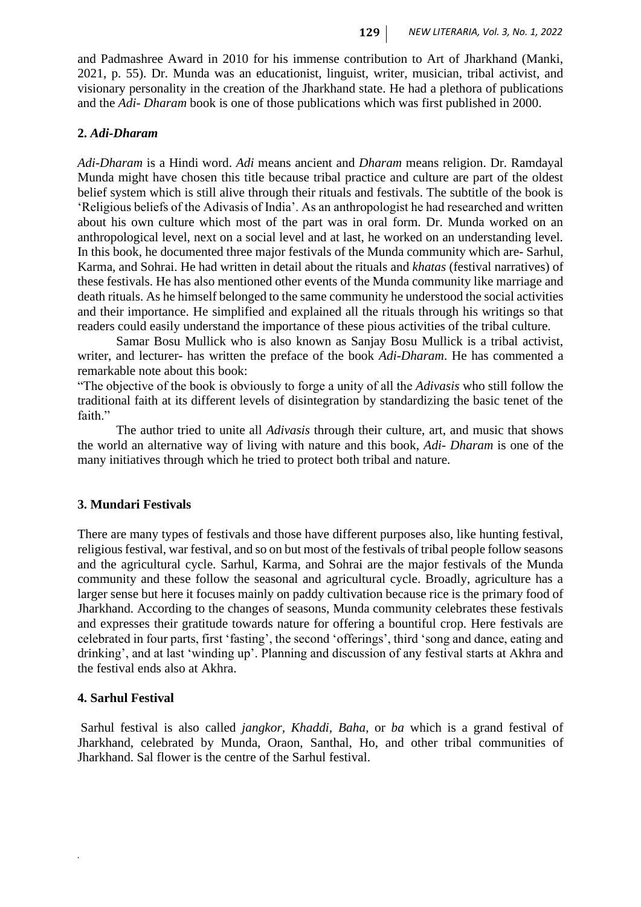and Padmashree Award in 2010 for his immense contribution to Art of Jharkhand (Manki, 2021, p. 55). Dr. Munda was an educationist, linguist, writer, musician, tribal activist, and visionary personality in the creation of the Jharkhand state. He had a plethora of publications and the *Adi- Dharam* book is one of those publications which was first published in 2000.

### **2.** *Adi-Dharam*

*Adi-Dharam* is a Hindi word. *Adi* means ancient and *Dharam* means religion. Dr. Ramdayal Munda might have chosen this title because tribal practice and culture are part of the oldest belief system which is still alive through their rituals and festivals. The subtitle of the book is 'Religious beliefs of the Adivasis of India'. As an anthropologist he had researched and written about his own culture which most of the part was in oral form. Dr. Munda worked on an anthropological level, next on a social level and at last, he worked on an understanding level. In this book, he documented three major festivals of the Munda community which are- Sarhul, Karma, and Sohrai. He had written in detail about the rituals and *khatas* (festival narratives) of these festivals. He has also mentioned other events of the Munda community like marriage and death rituals. As he himself belonged to the same community he understood the social activities and their importance. He simplified and explained all the rituals through his writings so that readers could easily understand the importance of these pious activities of the tribal culture.

Samar Bosu Mullick who is also known as Sanjay Bosu Mullick is a tribal activist, writer, and lecturer- has written the preface of the book *Adi-Dharam*. He has commented a remarkable note about this book:

"The objective of the book is obviously to forge a unity of all the *Adivasis* who still follow the traditional faith at its different levels of disintegration by standardizing the basic tenet of the faith."

The author tried to unite all *Adivasis* through their culture, art, and music that shows the world an alternative way of living with nature and this book, *Adi- Dharam* is one of the many initiatives through which he tried to protect both tribal and nature.

### **3. Mundari Festivals**

There are many types of festivals and those have different purposes also, like hunting festival, religious festival, war festival, and so on but most of the festivals of tribal people follow seasons and the agricultural cycle. Sarhul, Karma, and Sohrai are the major festivals of the Munda community and these follow the seasonal and agricultural cycle. Broadly, agriculture has a larger sense but here it focuses mainly on paddy cultivation because rice is the primary food of Jharkhand. According to the changes of seasons, Munda community celebrates these festivals and expresses their gratitude towards nature for offering a bountiful crop. Here festivals are celebrated in four parts, first 'fasting', the second 'offerings', third 'song and dance, eating and drinking', and at last 'winding up'. Planning and discussion of any festival starts at Akhra and the festival ends also at Akhra.

#### **4. Sarhul Festival**

*.*

Sarhul festival is also called *jangkor, Khaddi, Baha*, or *ba* which is a grand festival of Jharkhand, celebrated by Munda, Oraon, Santhal, Ho, and other tribal communities of Jharkhand. Sal flower is the centre of the Sarhul festival.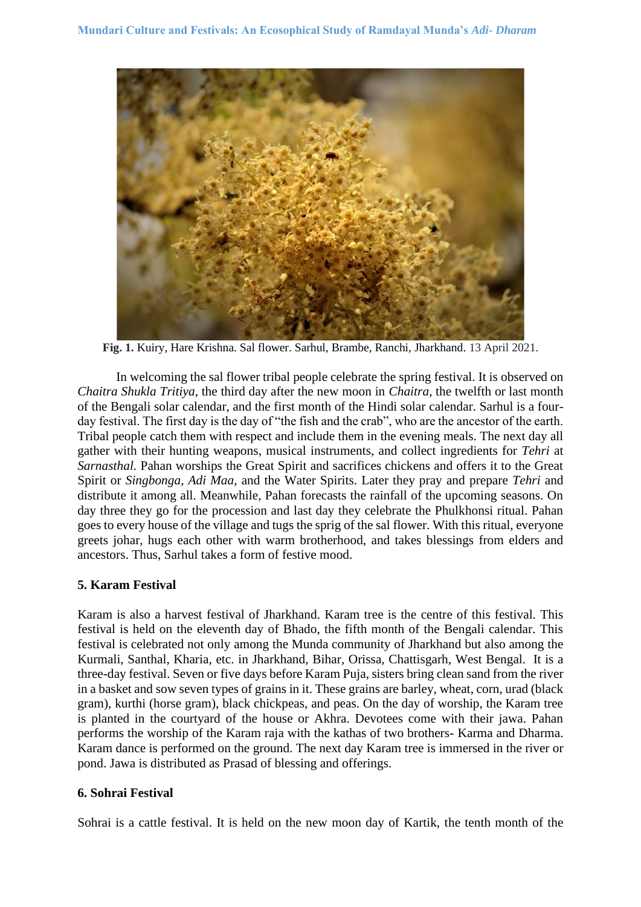

**Fig. 1.** Kuiry, Hare Krishna. Sal flower. Sarhul, Brambe, Ranchi, Jharkhand. 13 April 2021.

In welcoming the sal flower tribal people celebrate the spring festival. It is observed on *Chaitra Shukla Tritiya*, the third day after the new moon in *Chaitra*, the twelfth or last month of the Bengali solar calendar, and the first month of the Hindi solar calendar. Sarhul is a fourday festival. The first day is the day of "the fish and the crab", who are the ancestor of the earth. Tribal people catch them with respect and include them in the evening meals. The next day all gather with their hunting weapons, musical instruments, and collect ingredients for *Tehri* at *Sarnasthal.* Pahan worships the Great Spirit and sacrifices chickens and offers it to the Great Spirit or *Singbonga, Adi Maa,* and the Water Spirits. Later they pray and prepare *Tehri* and distribute it among all. Meanwhile, Pahan forecasts the rainfall of the upcoming seasons. On day three they go for the procession and last day they celebrate the Phulkhonsi ritual. Pahan goes to every house of the village and tugs the sprig of the sal flower. With this ritual, everyone greets johar, hugs each other with warm brotherhood, and takes blessings from elders and ancestors. Thus, Sarhul takes a form of festive mood.

# **5. Karam Festival**

Karam is also a harvest festival of Jharkhand. Karam tree is the centre of this festival. This festival is held on the eleventh day of Bhado, the fifth month of the Bengali calendar. This festival is celebrated not only among the Munda community of Jharkhand but also among the Kurmali, Santhal, Kharia, etc. in Jharkhand, Bihar, Orissa, Chattisgarh, West Bengal. It is a three-day festival. Seven or five days before Karam Puja, sisters bring clean sand from the river in a basket and sow seven types of grains in it. These grains are barley, wheat, corn, urad (black gram), kurthi (horse gram), black chickpeas, and peas. On the day of worship, the Karam tree is planted in the courtyard of the house or Akhra. Devotees come with their jawa. Pahan performs the worship of the Karam raja with the kathas of two brothers- Karma and Dharma. Karam dance is performed on the ground. The next day Karam tree is immersed in the river or pond. Jawa is distributed as Prasad of blessing and offerings.

# **6. Sohrai Festival**

Sohrai is a cattle festival. It is held on the new moon day of Kartik, the tenth month of the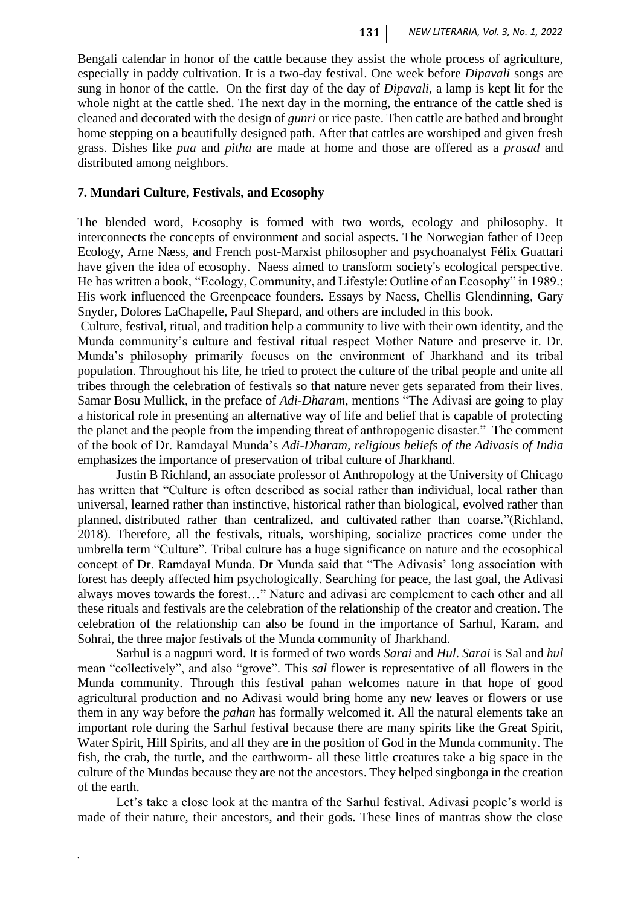Bengali calendar in honor of the cattle because they assist the whole process of agriculture, especially in paddy cultivation. It is a two-day festival. One week before *Dipavali* songs are sung in honor of the cattle. On the first day of the day of *Dipavali,* a lamp is kept lit for the whole night at the cattle shed. The next day in the morning, the entrance of the cattle shed is cleaned and decorated with the design of *gunri* or rice paste. Then cattle are bathed and brought home stepping on a beautifully designed path. After that cattles are worshiped and given fresh grass. Dishes like *pua* and *pitha* are made at home and those are offered as a *prasad* and distributed among neighbors.

## **7. Mundari Culture, Festivals, and Ecosophy**

The blended word, Ecosophy is formed with two words, ecology and philosophy. It interconnects the concepts of environment and social aspects. The Norwegian father of Deep Ecology, Arne Næss, and French post-Marxist philosopher and psychoanalyst Félix Guattari have given the idea of ecosophy. Naess aimed to transform society's ecological perspective. He has written a book, "Ecology, Community, and Lifestyle: Outline of an Ecosophy" in 1989.; His work influenced the Greenpeace founders. Essays by Naess, Chellis Glendinning, Gary Snyder, Dolores LaChapelle, Paul Shepard, and others are included in this book.

Culture, festival, ritual, and tradition help a community to live with their own identity, and the Munda community's culture and festival ritual respect Mother Nature and preserve it. Dr. Munda's philosophy primarily focuses on the environment of Jharkhand and its tribal population. Throughout his life, he tried to protect the culture of the tribal people and unite all tribes through the celebration of festivals so that nature never gets separated from their lives. Samar Bosu Mullick, in the preface of *Adi-Dharam,* mentions "The Adivasi are going to play a historical role in presenting an alternative way of life and belief that is capable of protecting the planet and the people from the impending threat of anthropogenic disaster." The comment of the book of Dr. Ramdayal Munda's *Adi-Dharam, religious beliefs of the Adivasis of India*  emphasizes the importance of preservation of tribal culture of Jharkhand.

Justin B Richland, an associate professor of Anthropology at the University of Chicago has written that "Culture is often described as social rather than individual, local rather than universal, learned rather than instinctive, historical rather than biological, evolved rather than planned, distributed rather than centralized, and cultivated rather than coarse."(Richland, 2018). Therefore, all the festivals, rituals, worshiping, socialize practices come under the umbrella term "Culture". Tribal culture has a huge significance on nature and the ecosophical concept of Dr. Ramdayal Munda. Dr Munda said that "The Adivasis' long association with forest has deeply affected him psychologically. Searching for peace, the last goal, the Adivasi always moves towards the forest…" Nature and adivasi are complement to each other and all these rituals and festivals are the celebration of the relationship of the creator and creation. The celebration of the relationship can also be found in the importance of Sarhul, Karam, and Sohrai, the three major festivals of the Munda community of Jharkhand.

Sarhul is a nagpuri word. It is formed of two words *Sarai* and *Hul*. *Sarai* is Sal and *hul*  mean "collectively", and also "grove". This *sal* flower is representative of all flowers in the Munda community. Through this festival pahan welcomes nature in that hope of good agricultural production and no Adivasi would bring home any new leaves or flowers or use them in any way before the *pahan* has formally welcomed it. All the natural elements take an important role during the Sarhul festival because there are many spirits like the Great Spirit, Water Spirit, Hill Spirits, and all they are in the position of God in the Munda community. The fish, the crab, the turtle, and the earthworm- all these little creatures take a big space in the culture of the Mundas because they are not the ancestors. They helped singbonga in the creation of the earth.

Let's take a close look at the mantra of the Sarhul festival. Adivasi people's world is made of their nature, their ancestors, and their gods. These lines of mantras show the close

*.*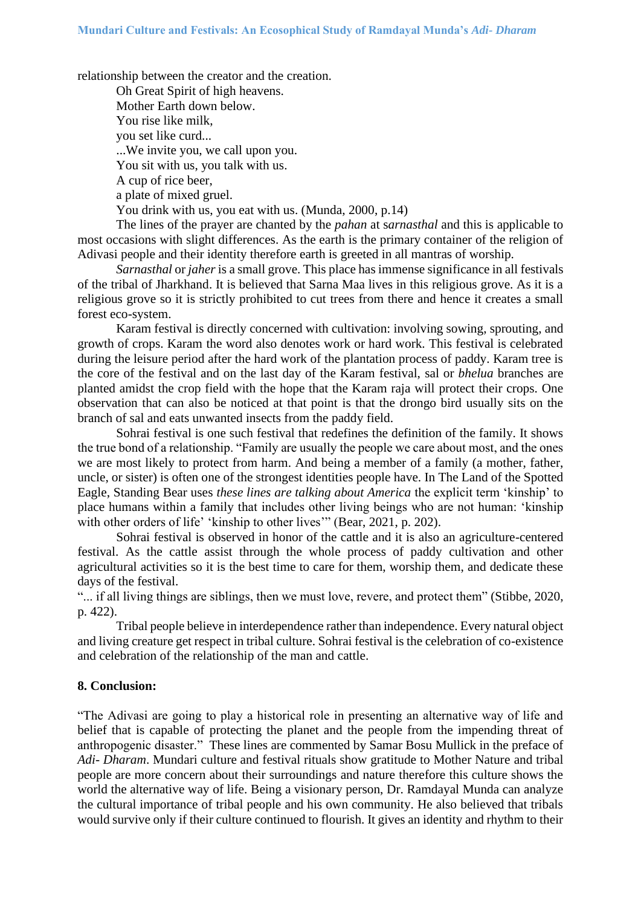relationship between the creator and the creation.

Oh Great Spirit of high heavens. Mother Earth down below. You rise like milk, you set like curd... ...We invite you, we call upon you. You sit with us, you talk with us. A cup of rice beer, a plate of mixed gruel. You drink with us, you eat with us. (Munda, 2000, p.14)

The lines of the prayer are chanted by the *pahan* at s*arnasthal* and this is applicable to most occasions with slight differences. As the earth is the primary container of the religion of Adivasi people and their identity therefore earth is greeted in all mantras of worship.

*Sarnasthal* or *jaher* is a small grove. This place has immense significance in all festivals of the tribal of Jharkhand. It is believed that Sarna Maa lives in this religious grove. As it is a religious grove so it is strictly prohibited to cut trees from there and hence it creates a small forest eco-system.

Karam festival is directly concerned with cultivation: involving sowing, sprouting, and growth of crops. Karam the word also denotes work or hard work. This festival is celebrated during the leisure period after the hard work of the plantation process of paddy. Karam tree is the core of the festival and on the last day of the Karam festival, sal or *bhelua* branches are planted amidst the crop field with the hope that the Karam raja will protect their crops. One observation that can also be noticed at that point is that the drongo bird usually sits on the branch of sal and eats unwanted insects from the paddy field.

Sohrai festival is one such festival that redefines the definition of the family. It shows the true bond of a relationship. "Family are usually the people we care about most, and the ones we are most likely to protect from harm. And being a member of a family (a mother, father, uncle, or sister) is often one of the strongest identities people have. In The Land of the Spotted Eagle, Standing Bear uses *these lines are talking about America* the explicit term 'kinship' to place humans within a family that includes other living beings who are not human: 'kinship with other orders of life' 'kinship to other lives'" (Bear, 2021, p. 202).

Sohrai festival is observed in honor of the cattle and it is also an agriculture-centered festival. As the cattle assist through the whole process of paddy cultivation and other agricultural activities so it is the best time to care for them, worship them, and dedicate these days of the festival.

"... if all living things are siblings, then we must love, revere, and protect them" (Stibbe, 2020, p. 422).

Tribal people believe in interdependence rather than independence. Every natural object and living creature get respect in tribal culture. Sohrai festival is the celebration of co-existence and celebration of the relationship of the man and cattle.

### **8. Conclusion:**

"The Adivasi are going to play a historical role in presenting an alternative way of life and belief that is capable of protecting the planet and the people from the impending threat of anthropogenic disaster." These lines are commented by Samar Bosu Mullick in the preface of *Adi- Dharam*. Mundari culture and festival rituals show gratitude to Mother Nature and tribal people are more concern about their surroundings and nature therefore this culture shows the world the alternative way of life. Being a visionary person, Dr. Ramdayal Munda can analyze the cultural importance of tribal people and his own community. He also believed that tribals would survive only if their culture continued to flourish. It gives an identity and rhythm to their